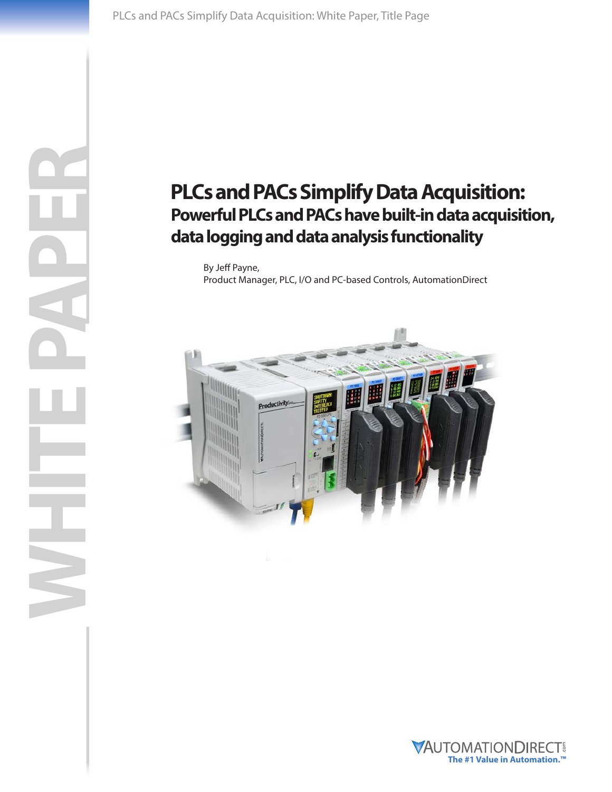WHITE PAPER

 $\leq$ 

# **PLCs and PACs Simplify Data Acquisition: Powerful PLCs and PACs have built-in data acquisition, data logging and data analysis functionality**

By Jeff Payne, Product Manager, PLC, I/O and PC-based Controls, AutomationDirect



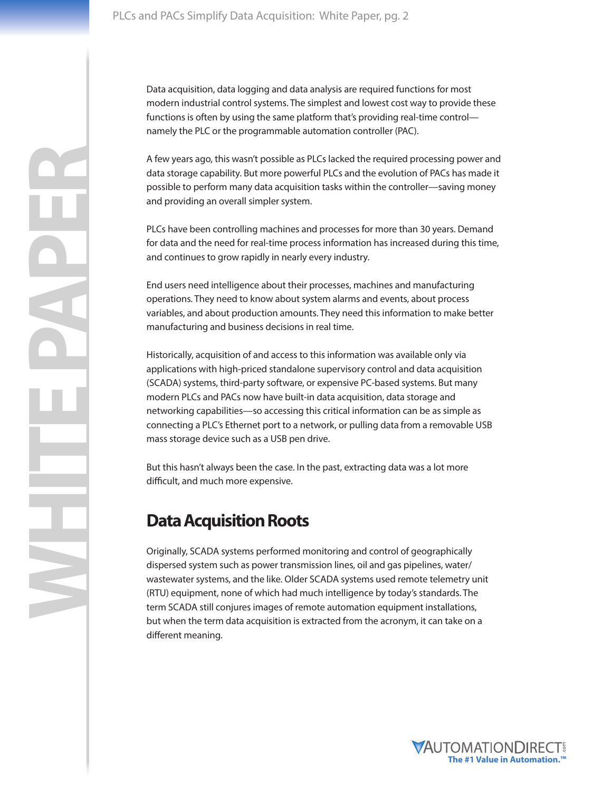Data acquisition, data logging and data analysis are required functions for most modern industrial control systems. The simplest and lowest cost way to provide these functions is often by using the same platform that's providing real-time control namely the PLC or the programmable automation controller (PAC).

A few years ago, this wasn't possible as PLCs lacked the required processing power and data storage capability. But more powerful PLCs and the evolution of PACs has made it possible to perform many data acquisition tasks within the controller—saving money and providing an overall simpler system.

PLCs have been controlling machines and processes for more than 30 years. Demand for data and the need for real-time process information has increased during this time, and continues to grow rapidly in nearly every industry.

End users need intelligence about their processes, machines and manufacturing operations. They need to know about system alarms and events, about process variables, and about production amounts. They need this information to make better manufacturing and business decisions in real time.

Historically, acquisition of and access to this information was available only via applications with high-priced standalone supervisory control and data acquisition (SCADA) systems, third-party software, or expensive PC-based systems. But many modern PLCs and PACs now have built-in data acquisition, data storage and networking capabilities—so accessing this critical information can be as simple as connecting a PLC's Ethernet port to a network, or pulling data from a removable USB mass storage device such as a USB pen drive.

But this hasn't always been the case. In the past, extracting data was a lot more difficult, and much more expensive.

### **Data Acquisition Roots**

Originally, SCADA systems performed monitoring and control of geographically dispersed system such as power transmission lines, oil and gas pipelines, water/ wastewater systems, and the like. Older SCADA systems used remote telemetry unit (RTU) equipment, none of which had much intelligence by today's standards. The term SCADA still conjures images of remote automation equipment installations, but when the term data acquisition is extracted from the acronym, it can take on a different meaning.

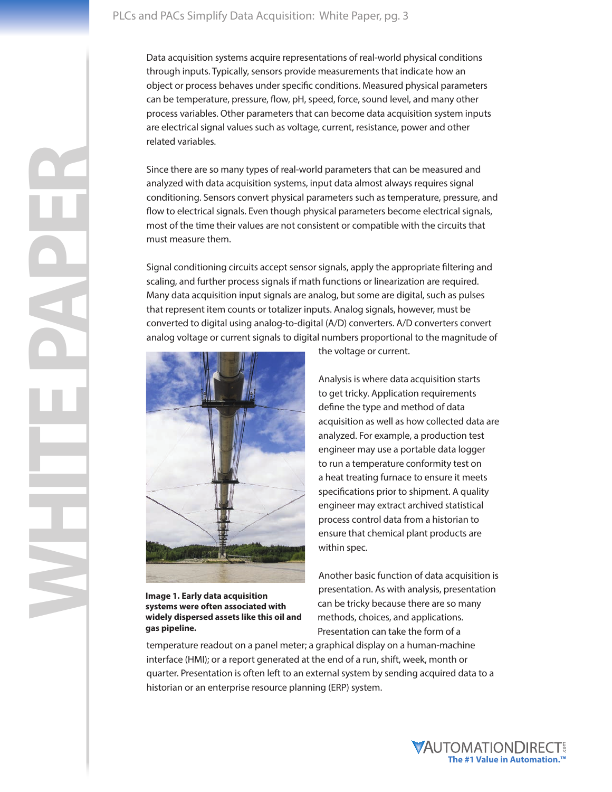Data acquisition systems acquire representations of real-world physical conditions through inputs. Typically, sensors provide measurements that indicate how an object or process behaves under specific conditions. Measured physical parameters can be temperature, pressure, flow, pH, speed, force, sound level, and many other process variables. Other parameters that can become data acquisition system inputs are electrical signal values such as voltage, current, resistance, power and other related variables.

Since there are so many types of real-world parameters that can be measured and analyzed with data acquisition systems, input data almost always requires signal conditioning. Sensors convert physical parameters such as temperature, pressure, and flow to electrical signals. Even though physical parameters become electrical signals, most of the time their values are not consistent or compatible with the circuits that must measure them.

Signal conditioning circuits accept sensor signals, apply the appropriate filtering and scaling, and further process signals if math functions or linearization are required. Many data acquisition input signals are analog, but some are digital, such as pulses that represent item counts or totalizer inputs. Analog signals, however, must be converted to digital using analog-to-digital (A/D) converters. A/D converters convert analog voltage or current signals to digital numbers proportional to the magnitude of



**Image 1. Early data acquisition systems were often associated with widely dispersed assets like this oil and gas pipeline.**

the voltage or current.

Analysis is where data acquisition starts to get tricky. Application requirements define the type and method of data acquisition as well as how collected data are analyzed. For example, a production test engineer may use a portable data logger to run a temperature conformity test on a heat treating furnace to ensure it meets specifications prior to shipment. A quality engineer may extract archived statistical process control data from a historian to ensure that chemical plant products are within spec.

Another basic function of data acquisition is presentation. As with analysis, presentation can be tricky because there are so many methods, choices, and applications. Presentation can take the form of a

temperature readout on a panel meter; a graphical display on a human-machine interface (HMI); or a report generated at the end of a run, shift, week, month or quarter. Presentation is often left to an external system by sending acquired data to a historian or an enterprise resource planning (ERP) system.

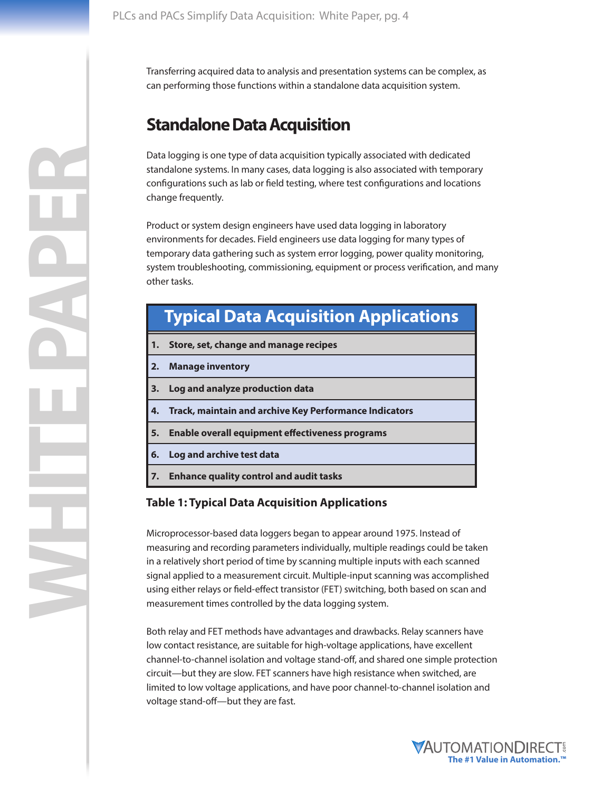Transferring acquired data to analysis and presentation systems can be complex, as can performing those functions within a standalone data acquisition system.

### **Standalone Data Acquisition**

Data logging is one type of data acquisition typically associated with dedicated standalone systems. In many cases, data logging is also associated with temporary configurations such as lab or field testing, where test configurations and locations change frequently.

Product or system design engineers have used data logging in laboratory environments for decades. Field engineers use data logging for many types of temporary data gathering such as system error logging, power quality monitoring, system troubleshooting, commissioning, equipment or process verification, and many other tasks.

## **Typical Data Acquisition Applications**

- **1. Store, set, change and manage recipes**
- **2. Manage inventory**
- **3. Log and analyze production data**
- **4. Track, maintain and archive Key Performance Indicators**
- **5. Enable overall equipment effectiveness programs**
- **6. Log and archive test data**
- **7. Enhance quality control and audit tasks**

#### **Table 1: Typical Data Acquisition Applications**

Microprocessor-based data loggers began to appear around 1975. Instead of measuring and recording parameters individually, multiple readings could be taken in a relatively short period of time by scanning multiple inputs with each scanned signal applied to a measurement circuit. Multiple-input scanning was accomplished using either relays or field-effect transistor (FET) switching, both based on scan and measurement times controlled by the data logging system.

Both relay and FET methods have advantages and drawbacks. Relay scanners have low contact resistance, are suitable for high-voltage applications, have excellent channel-to-channel isolation and voltage stand-off, and shared one simple protection circuit—but they are slow. FET scanners have high resistance when switched, are limited to low voltage applications, and have poor channel-to-channel isolation and voltage stand-off—but they are fast.

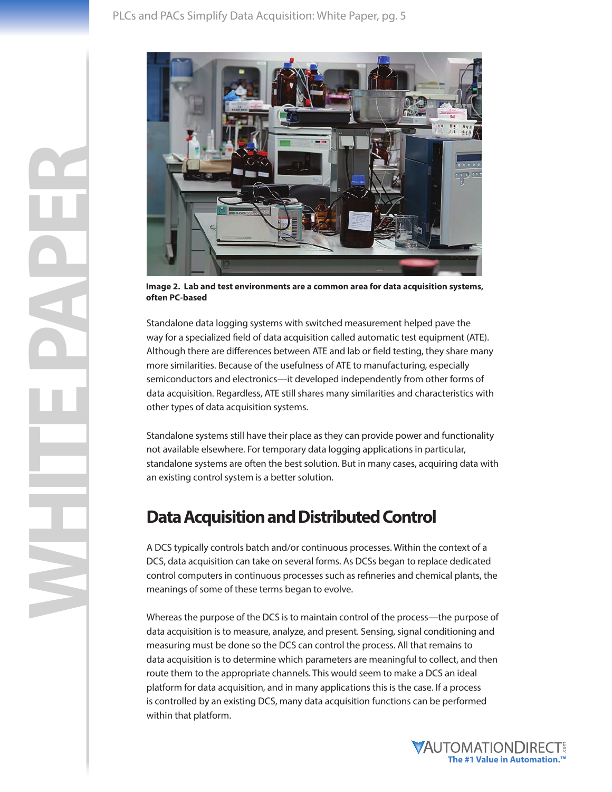

**Image 2. Lab and test environments are a common area for data acquisition systems, often PC-based**

Standalone data logging systems with switched measurement helped pave the way for a specialized field of data acquisition called automatic test equipment (ATE). Although there are differences between ATE and lab or field testing, they share many more similarities. Because of the usefulness of ATE to manufacturing, especially semiconductors and electronics—it developed independently from other forms of data acquisition. Regardless, ATE still shares many similarities and characteristics with other types of data acquisition systems.

Standalone systems still have their place as they can provide power and functionality not available elsewhere. For temporary data logging applications in particular, standalone systems are often the best solution. But in many cases, acquiring data with an existing control system is a better solution.

### **Data Acquisition and Distributed Control**

A DCS typically controls batch and/or continuous processes. Within the context of a DCS, data acquisition can take on several forms. As DCSs began to replace dedicated control computers in continuous processes such as refineries and chemical plants, the meanings of some of these terms began to evolve.

Whereas the purpose of the DCS is to maintain control of the process—the purpose of data acquisition is to measure, analyze, and present. Sensing, signal conditioning and measuring must be done so the DCS can control the process. All that remains to data acquisition is to determine which parameters are meaningful to collect, and then route them to the appropriate channels. This would seem to make a DCS an ideal platform for data acquisition, and in many applications this is the case. If a process is controlled by an existing DCS, many data acquisition functions can be performed within that platform.

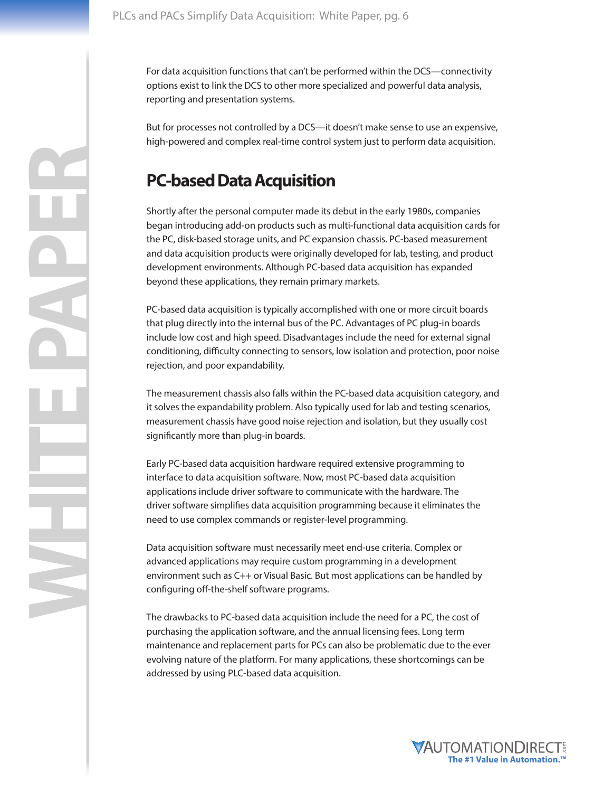For data acquisition functions that can't be performed within the DCS—connectivity options exist to link the DCS to other more specialized and powerful data analysis, reporting and presentation systems.

But for processes not controlled by a DCS—it doesn't make sense to use an expensive, high-powered and complex real-time control system just to perform data acquisition.

### **PC-based Data Acquisition**

Shortly after the personal computer made its debut in the early 1980s, companies began introducing add-on products such as multi-functional data acquisition cards for the PC, disk-based storage units, and PC expansion chassis. PC-based measurement and data acquisition products were originally developed for lab, testing, and product development environments. Although PC-based data acquisition has expanded beyond these applications, they remain primary markets.

PC-based data acquisition is typically accomplished with one or more circuit boards that plug directly into the internal bus of the PC. Advantages of PC plug-in boards include low cost and high speed. Disadvantages include the need for external signal conditioning, difficulty connecting to sensors, low isolation and protection, poor noise rejection, and poor expandability.

The measurement chassis also falls within the PC-based data acquisition category, and it solves the expandability problem. Also typically used for lab and testing scenarios, measurement chassis have good noise rejection and isolation, but they usually cost significantly more than plug-in boards.

Early PC-based data acquisition hardware required extensive programming to interface to data acquisition software. Now, most PC-based data acquisition applications include driver software to communicate with the hardware. The driver software simplifies data acquisition programming because it eliminates the need to use complex commands or register-level programming.

Data acquisition software must necessarily meet end-use criteria. Complex or advanced applications may require custom programming in a development environment such as C++ or Visual Basic. But most applications can be handled by configuring off-the-shelf software programs.

The drawbacks to PC-based data acquisition include the need for a PC, the cost of purchasing the application software, and the annual licensing fees. Long term maintenance and replacement parts for PCs can also be problematic due to the ever evolving nature of the platform. For many applications, these shortcomings can be addressed by using PLC-based data acquisition.

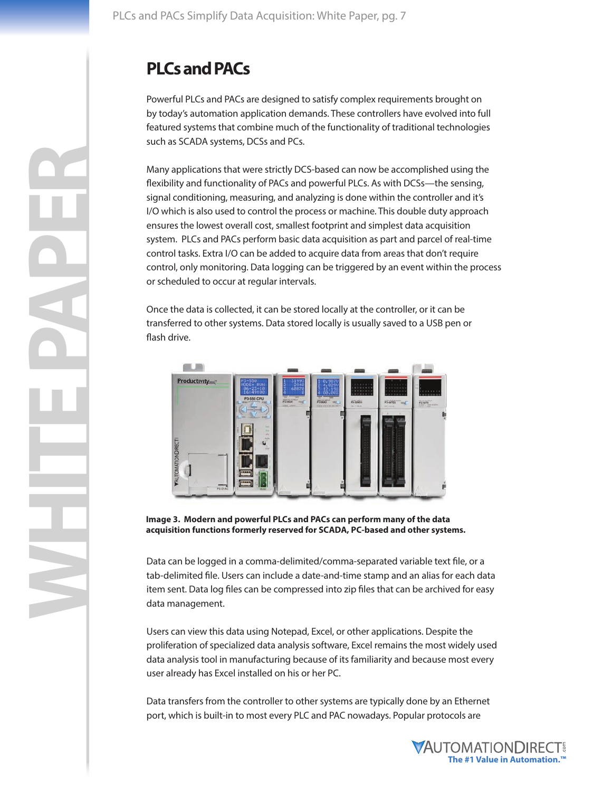# **PLCs and PACs**

Powerful PLCs and PACs are designed to satisfy complex requirements brought on by today's automation application demands. These controllers have evolved into full featured systems that combine much of the functionality of traditional technologies such as SCADA systems, DCSs and PCs.

Many applications that were strictly DCS-based can now be accomplished using the flexibility and functionality of PACs and powerful PLCs. As with DCSs—the sensing, signal conditioning, measuring, and analyzing is done within the controller and it's I/O which is also used to control the process or machine. This double duty approach ensures the lowest overall cost, smallest footprint and simplest data acquisition system. PLCs and PACs perform basic data acquisition as part and parcel of real-time control tasks. Extra I/O can be added to acquire data from areas that don't require control, only monitoring. Data logging can be triggered by an event within the process or scheduled to occur at regular intervals.

Once the data is collected, it can be stored locally at the controller, or it can be transferred to other systems. Data stored locally is usually saved to a USB pen or flash drive.



**Image 3. Modern and powerful PLCs and PACs can perform many of the data acquisition functions formerly reserved for SCADA, PC-based and other systems.** 

Data can be logged in a comma-delimited/comma-separated variable text file, or a tab-delimited file. Users can include a date-and-time stamp and an alias for each data item sent. Data log files can be compressed into zip files that can be archived for easy data management.

Users can view this data using Notepad, Excel, or other applications. Despite the proliferation of specialized data analysis software, Excel remains the most widely used data analysis tool in manufacturing because of its familiarity and because most every user already has Excel installed on his or her PC.

Data transfers from the controller to other systems are typically done by an Ethernet port, which is built-in to most every PLC and PAC nowadays. Popular protocols are

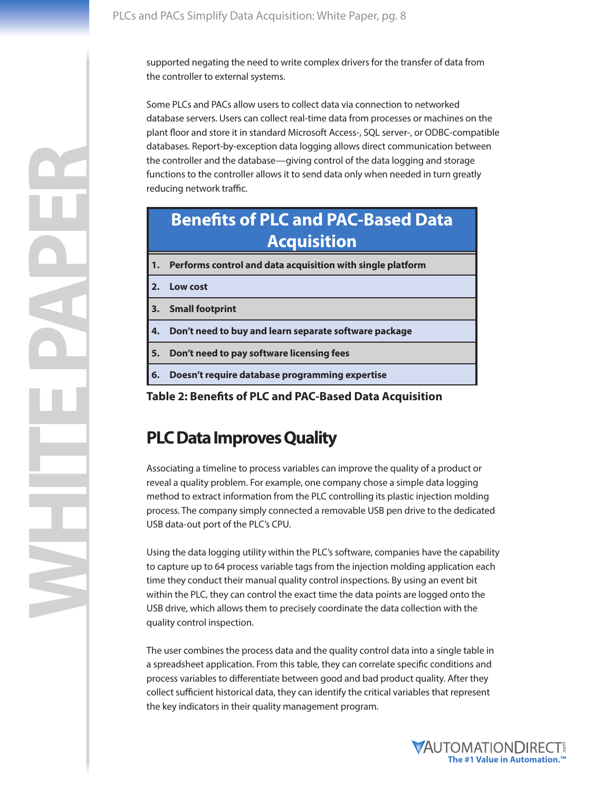supported negating the need to write complex drivers for the transfer of data from the controller to external systems.

Some PLCs and PACs allow users to collect data via connection to networked database servers. Users can collect real-time data from processes or machines on the plant floor and store it in standard Microsoft Access-, SQL server-, or ODBC-compatible databases. Report-by-exception data logging allows direct communication between the controller and the database—giving control of the data logging and storage functions to the controller allows it to send data only when needed in turn greatly reducing network traffic.

### **Benefits of PLC and PAC-Based Data Acquisition**

**1. Performs control and data acquisition with single platform**

**2. Low cost**

**3. Small footprint**

**4. Don't need to buy and learn separate software package**

**5. Don't need to pay software licensing fees**

**6. Doesn't require database programming expertise**

**Table 2: Benefits of PLC and PAC-Based Data Acquisition**

#### **PLC Data Improves Quality**

Associating a timeline to process variables can improve the quality of a product or reveal a quality problem. For example, one company chose a simple data logging method to extract information from the PLC controlling its plastic injection molding process. The company simply connected a removable USB pen drive to the dedicated USB data-out port of the PLC's CPU.

Using the data logging utility within the PLC's software, companies have the capability to capture up to 64 process variable tags from the injection molding application each time they conduct their manual quality control inspections. By using an event bit within the PLC, they can control the exact time the data points are logged onto the USB drive, which allows them to precisely coordinate the data collection with the quality control inspection.

The user combines the process data and the quality control data into a single table in a spreadsheet application. From this table, they can correlate specific conditions and process variables to differentiate between good and bad product quality. After they collect sufficient historical data, they can identify the critical variables that represent the key indicators in their quality management program.